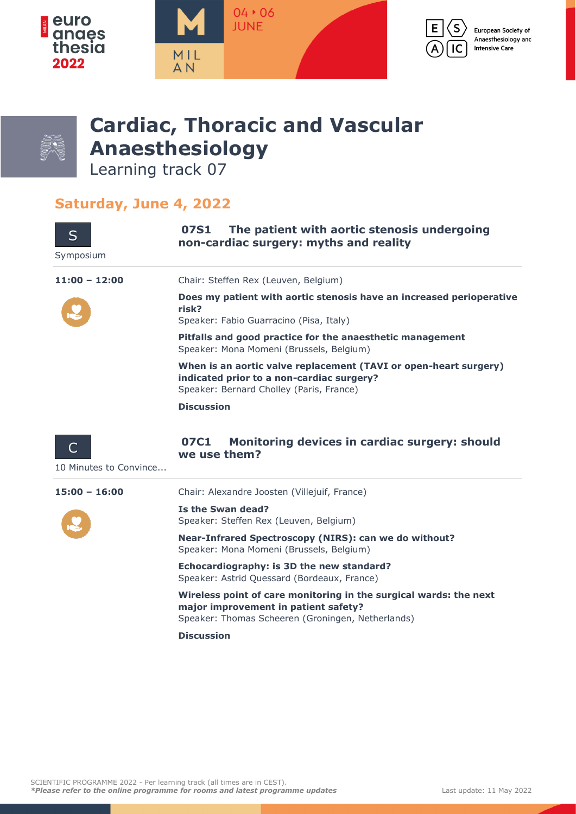





# **Cardiac, Thoracic and Vascular Anaesthesiology**

Learning track 07

## **Saturday, June 4, 2022**

S

### **07S1 The patient with aortic stenosis undergoing non-cardiac surgery: myths and reality**

Symposium



**Does my patient with aortic stenosis have an increased perioperative risk?** Speaker: Fabio Guarracino (Pisa, Italy)

**Pitfalls and good practice for the anaesthetic management** Speaker: Mona Momeni (Brussels, Belgium)

**When is an aortic valve replacement (TAVI or open-heart surgery) indicated prior to a non-cardiac surgery?** Speaker: Bernard Cholley (Paris, France)

**Discussion**

**11:00 – 12:00** Chair: Steffen Rex (Leuven, Belgium)



### **07C1 Monitoring devices in cardiac surgery: should we use them?**

10 Minutes to Convince...

**15:00 – 16:00** Chair: Alexandre Joosten (Villejuif, France)



**Is the Swan dead?** Speaker: Steffen Rex (Leuven, Belgium)

**Near-Infrared Spectroscopy (NIRS): can we do without?** Speaker: Mona Momeni (Brussels, Belgium)

**Echocardiography: is 3D the new standard?** Speaker: Astrid Quessard (Bordeaux, France)

**Wireless point of care monitoring in the surgical wards: the next major improvement in patient safety?** Speaker: Thomas Scheeren (Groningen, Netherlands)

**Discussion**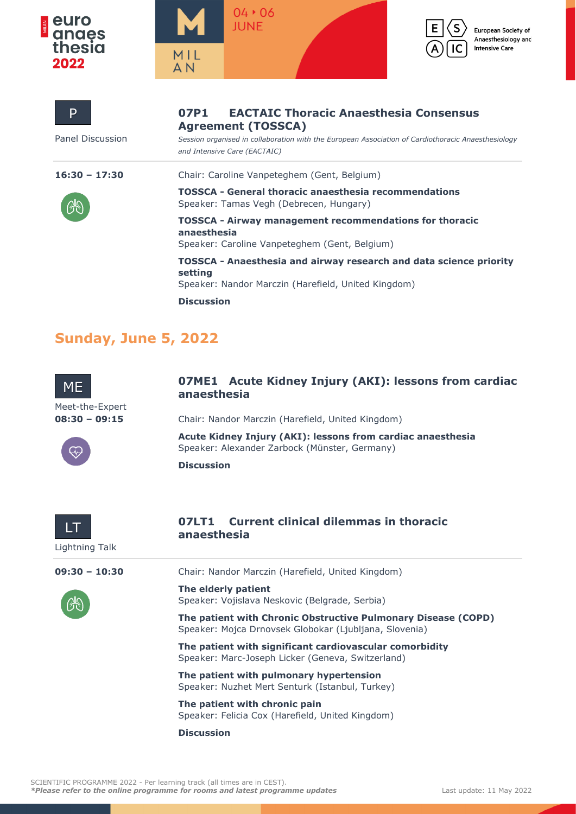







European Society of Anaesthesiology and **Intensive Care** 

| P                | <b>EACTAIC Thoracic Anaesthesia Consensus</b><br>07P1<br><b>Agreement (TOSSCA)</b>                                                   |
|------------------|--------------------------------------------------------------------------------------------------------------------------------------|
| Panel Discussion | Session organised in collaboration with the European Association of Cardiothoracic Anaesthesiology<br>and Intensive Care (EACTAIC)   |
| $16:30 - 17:30$  | Chair: Caroline Vanpeteghem (Gent, Belgium)                                                                                          |
|                  | <b>TOSSCA - General thoracic anaesthesia recommendations</b><br>Speaker: Tamas Vegh (Debrecen, Hungary)                              |
|                  | <b>TOSSCA - Airway management recommendations for thoracic</b><br>anaesthesia<br>Speaker: Caroline Vanpeteghem (Gent, Belgium)       |
|                  | TOSSCA - Anaesthesia and airway research and data science priority<br>setting<br>Speaker: Nandor Marczin (Harefield, United Kingdom) |
|                  | <b>Discussion</b>                                                                                                                    |

## **Sunday, June 5, 2022**



#### **07ME1 Acute Kidney Injury (AKI): lessons from cardiac anaesthesia**

Meet-the-Expert



**08:30 - 09:15** Chair: Nandor Marczin (Harefield, United Kingdom)

**Acute Kidney Injury (AKI): lessons from cardiac anaesthesia** Speaker: Alexander Zarbock (Münster, Germany)

**Discussion**



#### **07LT1 Current clinical dilemmas in thoracic anaesthesia**



**09:30 – 10:30** Chair: Nandor Marczin (Harefield, United Kingdom)

**The elderly patient** Speaker: Vojislava Neskovic (Belgrade, Serbia)

**The patient with Chronic Obstructive Pulmonary Disease (COPD)** Speaker: Mojca Drnovsek Globokar (Ljubljana, Slovenia)

**The patient with significant cardiovascular comorbidity** Speaker: Marc-Joseph Licker (Geneva, Switzerland)

**The patient with pulmonary hypertension** Speaker: Nuzhet Mert Senturk (Istanbul, Turkey)

**The patient with chronic pain** Speaker: Felicia Cox (Harefield, United Kingdom)

**Discussion**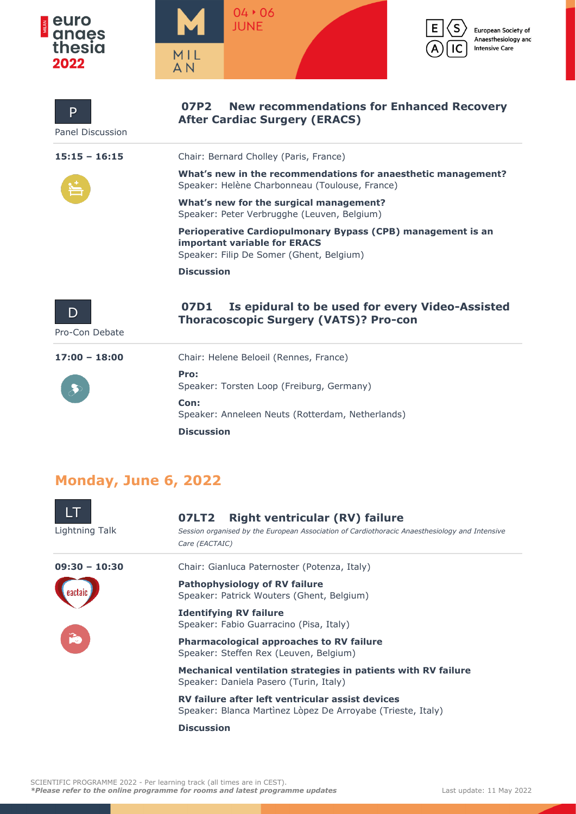



| P<br><b>Panel Discussion</b> | <b>New recommendations for Enhanced Recovery</b><br>07P2<br><b>After Cardiac Surgery (ERACS)</b>                                               |
|------------------------------|------------------------------------------------------------------------------------------------------------------------------------------------|
| $15:15 - 16:15$              | Chair: Bernard Cholley (Paris, France)                                                                                                         |
|                              | What's new in the recommendations for anaesthetic management?<br>Speaker: Helène Charbonneau (Toulouse, France)                                |
|                              | What's new for the surgical management?<br>Speaker: Peter Verbrugghe (Leuven, Belgium)                                                         |
|                              | Perioperative Cardiopulmonary Bypass (CPB) management is an<br><b>important variable for ERACS</b><br>Speaker: Filip De Somer (Ghent, Belgium) |
|                              | <b>Discussion</b>                                                                                                                              |
| Pro-Con Debate               | Is epidural to be used for every Video-Assisted<br>07D1<br><b>Thoracoscopic Surgery (VATS)? Pro-con</b>                                        |
| $17:00 - 18:00$              | Chair: Helene Beloeil (Rennes, France)                                                                                                         |
|                              | Pro:<br>Speaker: Torsten Loop (Freiburg, Germany)                                                                                              |
|                              | Con:<br>Speaker: Anneleen Neuts (Rotterdam, Netherlands)                                                                                       |
|                              | <b>Discussion</b>                                                                                                                              |

# **Monday, June 6, 2022**

| Lightning Talk  | <b>Right ventricular (RV) failure</b><br>07LT2<br>Session organised by the European Association of Cardiothoracic Anaesthesiology and Intensive<br>Care (EACTAIC) |
|-----------------|-------------------------------------------------------------------------------------------------------------------------------------------------------------------|
| $09:30 - 10:30$ | Chair: Gianluca Paternoster (Potenza, Italy)                                                                                                                      |
|                 | <b>Pathophysiology of RV failure</b><br>Speaker: Patrick Wouters (Ghent, Belgium)                                                                                 |
|                 | <b>Identifying RV failure</b><br>Speaker: Fabio Guarracino (Pisa, Italy)                                                                                          |
| É               | <b>Pharmacological approaches to RV failure</b><br>Speaker: Steffen Rex (Leuven, Belgium)                                                                         |
|                 | Mechanical ventilation strategies in patients with RV failure<br>Speaker: Daniela Pasero (Turin, Italy)                                                           |
|                 | RV failure after left ventricular assist devices<br>Speaker: Blanca Martinez Lòpez De Arroyabe (Trieste, Italy)                                                   |
|                 | <b>Discussion</b>                                                                                                                                                 |